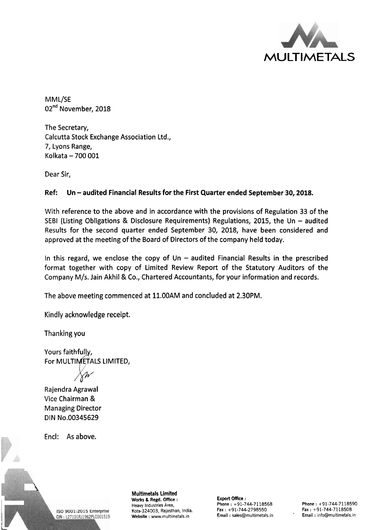

MML/SE 02<sup>nd</sup> November, 2018

The Secretary, Calcutta Stock Exchange Association Ltd., 7, Lyons Range, Kolkata - 700 001

Dear Sir,

## Ref: Un - audited Financial Results for the First Quarter ended September 30, 2018.

With reference to the above and in accordance with the provisions of Regulation 33 of the SEBI (Listing Obligations & Disclosure Requirements) Regulations, 2015, the Un  $-$  audited Results for the second quarter ended September 30, 2018, have been considered and approved at the meeting of the Board of Directors of the company held today.

In this regard, we enclose the copy of Un  $-$  audited Financial Results in the prescribed format together with copy of Limited Review Report of the Statutory Auditors of the Company M/s. Jain Akhil & Co., Chartered Accountants, for your information and records.

The above meeting commenced at 11.00AM and concluded at 2.30PM.

Kindly acknowledge receipt.

Thanking you

Yours faithfully, For MULTIMETALS LIMITED,

Rajendra Agrawal Vice Chairman & Managing Director DIN No.00345629

Encl: As above.



**Multimetals Limited**  Works & **Regd.** Office : **Export Office** : Kota-324003, Rajasthan, India. Fax : +91-744-2798550 Fax : +91-744-7118508<br>Website : www.multimetals.in Finail : sales@multimetals.in Finail : info@multimetals.in Website : www.multimetals.in

Phone : +91-744-7118568<br>
Fax : +91-744-2798550 Fax : +91-744-7118508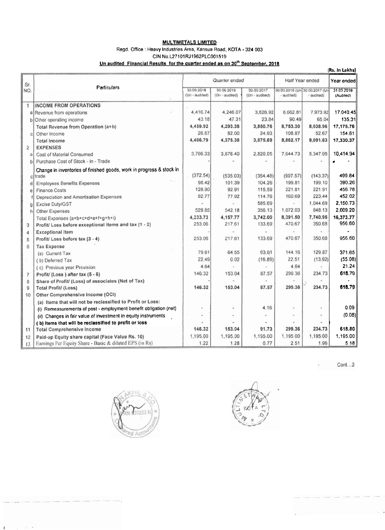#### **MULTIMETALS LIMITED**

#### Regd. Office : Heavy Industries Area, Kansua Road, KOTA - 324 003 CIN No.L27101RJ1962PLC001519

### Un audited Financial Results for the quarter ended as on 30<sup>th</sup> September, 2018

|                |                                                                      |                              |                              |                              |                 |                                             | (Rs. In Lakhs)          |
|----------------|----------------------------------------------------------------------|------------------------------|------------------------------|------------------------------|-----------------|---------------------------------------------|-------------------------|
| Sr.<br>NO.     | Particulars                                                          | Quarter ended                |                              |                              | Half Year ended |                                             | Year ended              |
|                |                                                                      | 30.09.2018<br>(Un - audited) | 30 06 2018<br>(Un - audited) | 30.09.2017<br>(Un - audited) | - audited)      | 30 09.2016 (Un 30.09.2017 (Un<br>· audited) | 31.03.2018<br>(Audited) |
| $\mathbf{1}$   | <b>INCOME FROM OPERATIONS</b>                                        |                              |                              |                              |                 |                                             |                         |
| a              | Revenue from operations                                              | 4,416.74                     | 4,246.07                     | 3,826.92                     | 8.662.81        | 7,973.92                                    | 17,040.45               |
| b              | Other operating income                                               | 43.18                        | 47.31                        | 23.84                        | 90.49           | 65.04                                       | 135.31                  |
|                | Total Revenue from Operation (a+b)                                   | 4,459.92                     | 4,293.38                     | 3,850.76                     | 8,753.30        | 8,038.96                                    | 17,175.76               |
| C              | Other Income                                                         | 26.87                        | 82.00                        | 24:93                        | 108.87          | 52.67                                       | 154.61                  |
|                | <b>Total Income</b>                                                  | 4,486.79                     | 4,375.38                     | 3,875.69                     | 8,862.17        | 8,091.63                                    | 17,330.37               |
| $\overline{2}$ | <b>EXPENSES</b>                                                      |                              |                              |                              |                 |                                             |                         |
| a              | Cost of Material Consumed                                            | 3,766.33                     | 3,878.40                     | 2,820.05                     | 7,644.73        | 5,347.05                                    | 10,414.94               |
| b              | Purchase Cost of Stock - in - Trade                                  |                              |                              |                              |                 |                                             |                         |
|                | Change in inventories of finished goods, work in progress & stock in |                              |                              |                              |                 |                                             |                         |
|                | citrade                                                              | (372.54)                     | (535.03)                     | (354.48)                     | (907.57)        | (143.37)                                    | 499.84                  |
| đ              | <b>Employees Benefits Expenses</b>                                   | 98.42                        | 101.39                       | 104.26                       | 199.81          | 199.10                                      | 390.26                  |
| é              | <b>Finance Costs</b>                                                 | 128.90                       | 92.91                        | 115.59                       | 221.81          | 221.91                                      | 456.78                  |
|                | Depreciation and Amortisation Expenses                               | 82.77                        | 77.92                        | 114.76                       | 160.69          | 223.44                                      | 452.02                  |
| g              | Excise Duty/GST                                                      |                              |                              | 585.69                       |                 | 1,044.69                                    | 2,150.73                |
| h              | Other Expenses                                                       | 529.85                       | 542.18                       | 356.13                       | 1,072.03        | 848.13                                      | 2,009.20                |
|                | Total Expenses (a+b+c+d+e+f+g+h+i)                                   | 4,233.73                     | 4,157.77                     | 3,742.00                     | 8,391.50        | 7,740.95                                    | 16,373.77               |
| 3              | Profit/ Loss before exceptional items and tax (1 - 2)                | 253.06                       | 217.61                       | 133.69                       | 470.67          | 350.68                                      | 956.60                  |
| 4              | <b>Exceptional Item</b>                                              |                              |                              |                              |                 |                                             |                         |
| 5              | Profit/ Loss before tax (3 - 4)                                      | 253.06                       | 217.61                       | 133.69                       | 470.67          | 350.68                                      | 956.60                  |
| $\beta$        | <b>Tax Expense</b>                                                   |                              |                              |                              |                 |                                             |                         |
|                | (a) Current Tax                                                      | 79.61                        | 64.55                        | 63.01                        | 144.16          | 129.87                                      | 371.65                  |
|                | (b) Deferred Tax                                                     | 22.49                        | 0.02                         | (16.89)                      | 22.51           | (13.92)                                     | (55.08)                 |
|                | (c) Previous year Provision                                          | 4.64                         |                              |                              | 4.64            |                                             | 21.24                   |
| $\overline{7}$ | Profit/(Loss) after tax (5 - 6)                                      | 146.32                       | 153.04                       | 87.57                        | 299.36          | 234.73                                      | 618.79                  |
| $^{\rm 8}$     | Share of Profit/ (Loss) of associates (Net of Tax)                   |                              |                              |                              |                 |                                             |                         |
| 9              | <b>Total Profit/ (Loss)</b>                                          | 146.32                       | 153.04                       | 87.57                        | 299.36          | 234.73                                      | 618.79                  |
| 10             | Other Comprehensive Income (OCI)                                     |                              |                              |                              |                 |                                             |                         |
|                | (a) Items that will not be reclassified to Profit or Loss:           |                              |                              |                              |                 |                                             |                         |
|                | (i) Remeasurements of post - employment benefit obligation (net)     |                              |                              | 4.16                         |                 |                                             | 0.09                    |
|                | (ii) Changes in fair value of investment in equity instruments       |                              |                              |                              |                 |                                             | (0.08)                  |
|                | (b) Items that will be reclassified to profit or loss                |                              |                              |                              |                 |                                             |                         |
| 11             | <b>Total Comprehensive Income</b>                                    | 146.32                       | 153.04                       | 91.73                        | 299.36          | 234.73                                      | 618.80                  |
| 12             | Paid-up Equity share capital (Face Value Rs. 10)                     | 1,195.00                     | 1,195.00                     | 1,195.00                     | 1,195.00        | 1,195.00                                    | 1,195.00                |
| 13             | Earnings Per Equity Share - Basic & diluted EPS (in Rs)              | 1.22                         | 1.28                         | 0.77                         | 2.51            | 1.96                                        | 5.18                    |

 $Cont. . . 2$ 

 $\epsilon$ 



The contract of the P

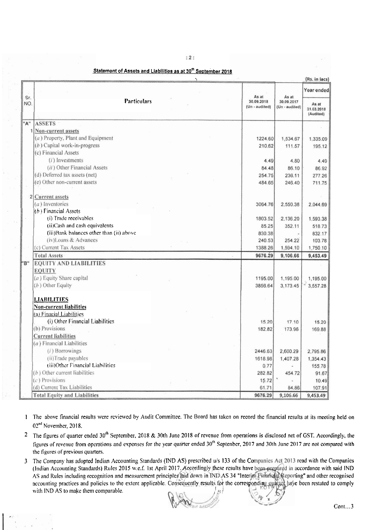|     |                                          |                              |                              | (Rs. in lacs)                    |  |
|-----|------------------------------------------|------------------------------|------------------------------|----------------------------------|--|
| Sr. |                                          | As at                        | As at                        | Year ended                       |  |
| NO. | <b>Particulars</b>                       | 30.09.2018<br>(Un - audited) | 30.09.2017<br>(Un - audited) | As at<br>31.03.2018<br>(Audited) |  |
| "A" | <b>ASSETS</b>                            |                              |                              |                                  |  |
| 1   | Non-current assets                       |                              |                              |                                  |  |
|     | (a) Property, Plant and Equipment        | 1224.60                      | 1,534.67                     | 1,335.09                         |  |
|     | $(b)$ Capital work-in-progress           | 210.62                       | 111.57                       | 195.12                           |  |
|     | (c) Financial Assets                     |                              |                              |                                  |  |
|     | $(i)$ Investments                        | 4.49                         | 4.80                         | 4.49                             |  |
|     | (ii) Other Financial Assets              | 84.48                        | 86.10                        | 86.92                            |  |
|     | (d) Deferred tax assets (net)            | 254.75                       | 236.11                       | 277.26                           |  |
|     | (e) Other non-current assets             | 484.65                       | 246.40                       | 711.75                           |  |
|     | 2 Current assets                         |                              |                              |                                  |  |
|     | $(a)$ Inventories                        | 3064.76                      | 2,550.38                     | 2,044.69                         |  |
|     | $(b)$ Financial Assets                   |                              |                              |                                  |  |
|     | (i) Trade receivables                    | 1803.52                      | 2,136.20                     | 1,593,38                         |  |
|     | (ii)Cash and cash equivalents            | 85.25                        | 352.11                       | 518.73                           |  |
|     | (iii)Bank balances other than (ii) above | 830.38                       |                              | 832.17                           |  |
|     | (iv)Loans & Advances                     | 240.53                       | 254.22                       | 103.78                           |  |
|     | (c) Current Tax Assets                   | 1388.26                      | 1,594.10                     | 1,750.10                         |  |
|     | <b>Total Assets</b>                      | 9676.29                      | 9,106.66                     | 9,453.49                         |  |
| "B" | <b>EQUITY AND LIABILITIES</b>            |                              |                              |                                  |  |
|     | <b>EQUITY</b>                            |                              |                              |                                  |  |
|     | (a) Equity Share capital                 | 1195.00                      | 1,195.00                     | 1,195.00                         |  |
|     | (b) Other Equity                         | 3856.64                      | 3,173.45                     | 3,557.28                         |  |
|     | LIABILITIES                              |                              |                              |                                  |  |
|     | Non-current liabilities                  |                              |                              |                                  |  |
|     | (a) Finacial Liabilities                 |                              |                              |                                  |  |
|     | (i) Other Financial Liabilities          | 15.20                        | 17.10                        | 15.20                            |  |
|     | (b) Provisions                           | 182.82                       | 173.96                       | 169.88                           |  |
|     | <b>Current liabilities</b>               |                              |                              |                                  |  |
|     | $(a)$ Financial Liabilities              |                              |                              |                                  |  |
|     | (i) Borrowings                           | 2446.63                      | 2,600.29                     | 2,795.86                         |  |
|     | (ii)Trade payables                       | 1618.98                      | 1,407.28                     | 1,354.43                         |  |
|     | (iii)Other Financial Liabilities         | 0.77                         |                              | 155.78                           |  |
|     | $(b)$ Other current liabilities          | 282.82                       | 454.72                       | 91.67                            |  |
|     | $(c)$ Provisions                         | 15.72                        |                              | 10.49                            |  |
|     | (d) Current Tax Liabilities              | 61.71                        | 84.86                        | 107.91                           |  |
|     | <b>Total Equity and Liabilities</b>      | 9676.29                      | 9,106.66                     | 9,453.49                         |  |

Statement of Assets and Liabilities as at 30<sup>th</sup> September 2018

 $:2:$ 

- I The above financial results were reviewed by Audit Committee. The Board has taken on record the financial results at its meeting held on 02<sup>nd</sup> November, 2018.
- <sup>2</sup> The figures of quarter ended  $30<sup>th</sup>$  September, 2018 & 30th June 2018 of revenue from operations is disclosed net of GST. Accordingly, the figures of revenue from operations and expenses for the year quarter ended 30<sup>th</sup> Septenber, 2017 and 30th June 2017 are not compared with the figures of previous quarters.
- The Company has adopted Indian Accounting Standards (IND AS) prescribed u/s 133 of the Companies Act 2013 read with the Companies  $\mathfrak{Z}$ (Indian Accounting Standards) Rules 2015 w.e.f. 1st April 2017. Accordingly these results have been prepared in accordance with said IND AS and Rules including recognition and measurement principles laid down in IND AS 34 "Interim Financial Reporting" and other recognised accounting practices and policies to the extent applicable. Consequently results for the corresponding quarter have been restated to comply with IND AS to make them comparable.

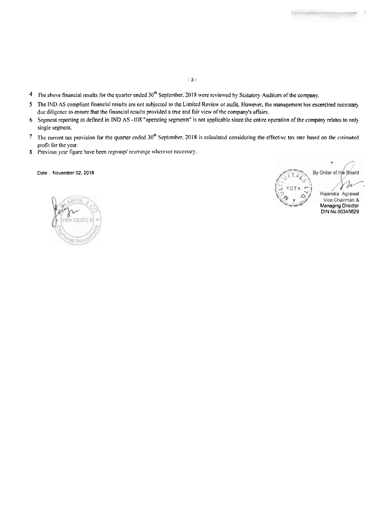- $: 3:$
- 4 The above financial results for the quarter ended 30<sup>th</sup> September, 2018 were reviewed by Statutory Auditors of the company.
- **5** The **fNU** AS compliant financial results are not **subjcctc<i** to he. Limited **Review** or audit. IIowever, the **management** has **exercised** necessav due diligence to ensure that the financial results provided a **true and** fair **view** of the company's **affairs.**
- 6 **Segriwllt** reporting ar, defined **in IWD** AS **-108** "operating **segments"** is not applicable since the **entlre** operation of **the** company relates **to** only single **segment.**
- **7** The current tax provision for the quarter ended 30<sup>th</sup> September, 2018 is calculated considering the effective tax rate based on the estimated profit for the year.
- 8 **Previous year figure have been regroup/ rearrange wherever necessary.**

**Date** . **November 02.2518** 

By Order of the Board Rajendra Agrawal **Managing Director BIN No.00345629**